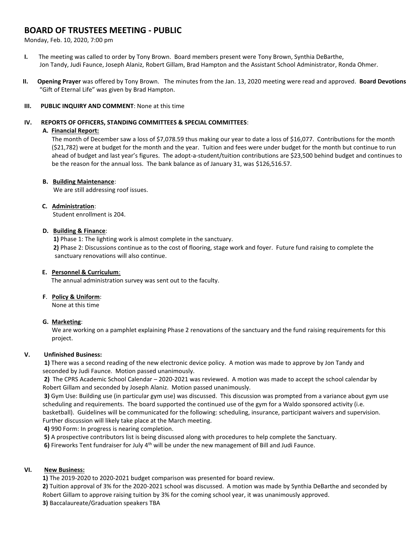# **BOARD OF TRUSTEES MEETING - PUBLIC**

Monday, Feb. 10, 2020, 7:00 pm

- **I.** The meeting was called to order by Tony Brown. Board members present were Tony Brown, Synthia DeBarthe, Jon Tandy, Judi Faunce, Joseph Alaniz, Robert Gillam, Brad Hampton and the Assistant School Administrator, Ronda Ohmer.
- **II. Opening Prayer** was offered by Tony Brown. The minutes from the Jan. 13, 2020 meeting were read and approved. **Board Devotions** "Gift of Eternal Life" was given by Brad Hampton.

### **III. PUBLIC INQUIRY AND COMMENT**: None at this time

### **IV. REPORTS OF OFFICERS, STANDING COMMITTEES & SPECIAL COMMITTEES**:

### **A. Financial Report:**

The month of December saw a loss of \$7,078.59 thus making our year to date a loss of \$16,077. Contributions for the month (\$21,782) were at budget for the month and the year. Tuition and fees were under budget for the month but continue to run ahead of budget and last year's figures. The adopt-a-student/tuition contributions are \$23,500 behind budget and continues to be the reason for the annual loss. The bank balance as of January 31, was \$126,516.57.

#### **B. Building Maintenance**:

We are still addressing roof issues.

#### **C. Administration**:

Student enrollment is 204.

## **D. Building & Finance**:

**1)** Phase 1: The lighting work is almost complete in the sanctuary.

 **2)** Phase 2: Discussions continue as to the cost of flooring, stage work and foyer. Future fund raising to complete the sanctuary renovations will also continue.

## **E. Personnel & Curriculum**:

The annual administration survey was sent out to the faculty.

## **F**. **Policy & Uniform**:

None at this time

## **G. Marketing**:

 We are working on a pamphlet explaining Phase 2 renovations of the sanctuary and the fund raising requirements for this project.

## **V. Unfinished Business:**

 **1)** There was a second reading of the new electronic device policy. A motion was made to approve by Jon Tandy and seconded by Judi Faunce. Motion passed unanimously.

**2)** The CPRS Academic School Calendar – 2020-2021 was reviewed. A motion was made to accept the school calendar by Robert Gillam and seconded by Joseph Alaniz. Motion passed unanimously.

**3)** Gym Use: Building use (in particular gym use) was discussed. This discussion was prompted from a variance about gym use scheduling and requirements. The board supported the continued use of the gym for a Waldo sponsored activity (i.e. basketball). Guidelines will be communicated for the following: scheduling, insurance, participant waivers and supervision.

Further discussion will likely take place at the March meeting.

**4)** 990 Form: In progress is nearing completion.

**5)** A prospective contributors list is being discussed along with procedures to help complete the Sanctuary.

**6)** Fireworks Tent fundraiser for July 4<sup>th</sup> will be under the new management of Bill and Judi Faunce.

## **VI. New Business:**

**1)** The 2019-2020 to 2020-2021 budget comparison was presented for board review.

**2)** Tuition approval of 3% for the 2020-2021 school was discussed. A motion was made by Synthia DeBarthe and seconded by Robert Gillam to approve raising tuition by 3% for the coming school year, it was unanimously approved. **3)** Baccalaureate/Graduation speakers TBA